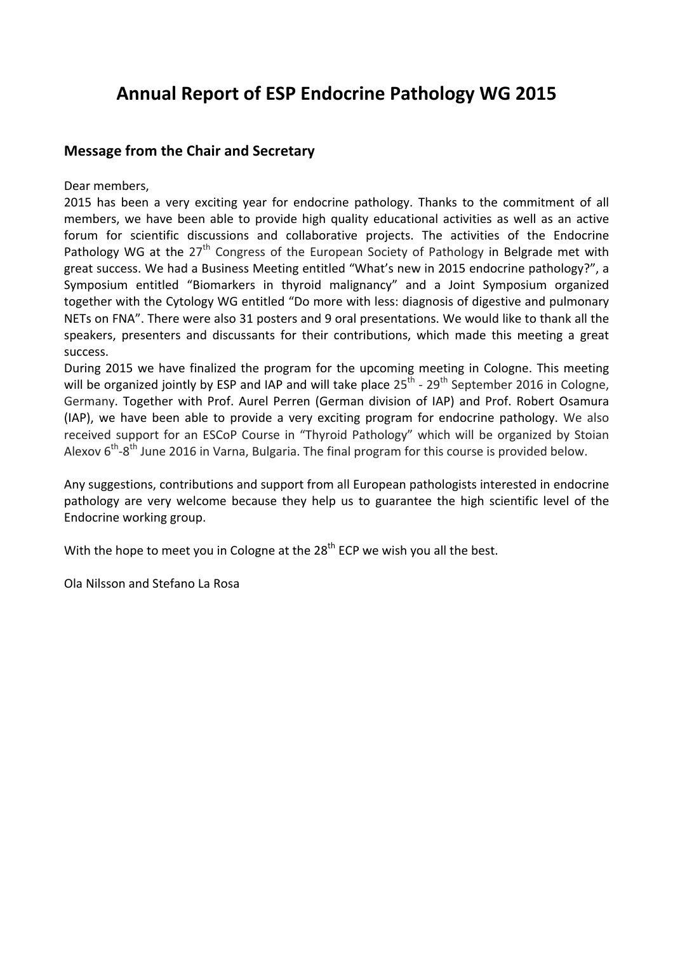# **Annual Report of ESP Endocrine Pathology WG 2015**

### **Message from the Chair and Secretary**

Dear members,

2015 has been a very exciting year for endocrine pathology. Thanks to the commitment of all members, we have been able to provide high quality educational activities as well as an active forum for scientific discussions and collaborative projects. The activities of the Endocrine Pathology WG at the 27<sup>th</sup> Congress of the European Society of Pathology in Belgrade met with great success. We had a Business Meeting entitled "What's new in 2015 endocrine pathology?", a Symposium entitled "Biomarkers in thyroid malignancy" and a Joint Symposium organized together with the Cytology WG entitled "Do more with less: diagnosis of digestive and pulmonary NETs on FNA". There were also 31 posters and 9 oral presentations. We would like to thank all the speakers, presenters and discussants for their contributions, which made this meeting a great success.

During 2015 we have finalized the program for the upcoming meeting in Cologne. This meeting will be organized jointly by ESP and IAP and will take place  $25<sup>th</sup>$  -  $29<sup>th</sup>$  September 2016 in Cologne, Germany. Together with Prof. Aurel Perren (German division of IAP) and Prof. Robert Osamura (IAP), we have been able to provide a very exciting program for endocrine pathology. We also received support for an ESCoP Course in "Thyroid Pathology" which will be organized by Stoian Alexov  $6<sup>th</sup>-8<sup>th</sup>$  June 2016 in Varna, Bulgaria. The final program for this course is provided below.

Any suggestions, contributions and support from all European pathologists interested in endocrine pathology are very welcome because they help us to guarantee the high scientific level of the Endocrine working group.

With the hope to meet you in Cologne at the  $28<sup>th</sup>$  ECP we wish you all the best.

Ola Nilsson and Stefano La Rosa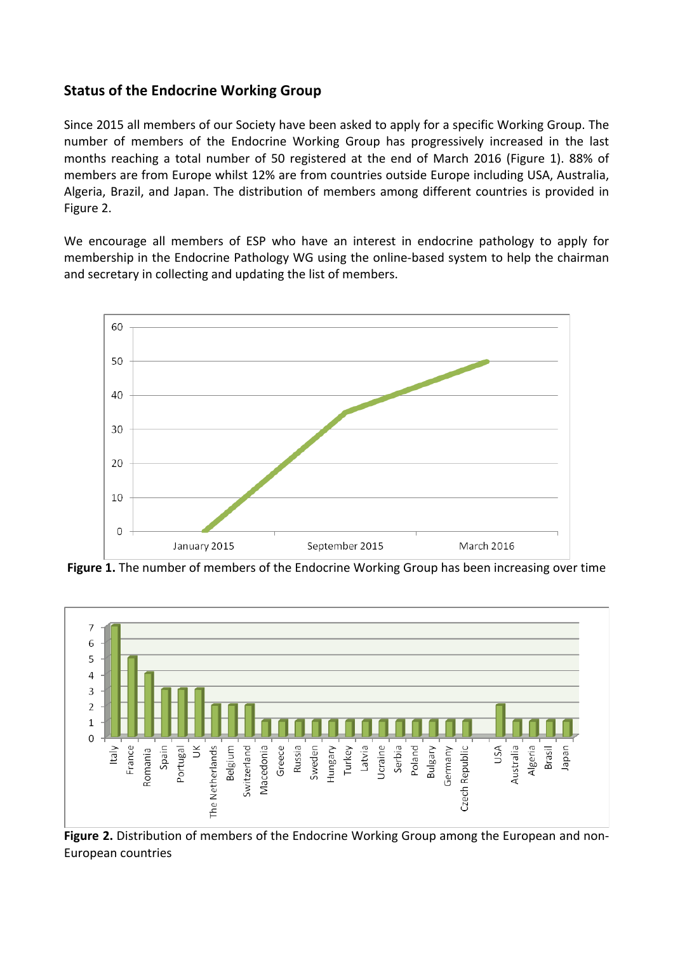### **Status of the Endocrine Working Group**

Since 2015 all members of our Society have been asked to apply for a specific Working Group. The number of members of the Endocrine Working Group has progressively increased in the last months reaching a total number of 50 registered at the end of March 2016 (Figure 1). 88% of members are from Europe whilst 12% are from countries outside Europe including USA, Australia, Algeria, Brazil, and Japan. The distribution of members among different countries is provided in Figure 2.

We encourage all members of ESP who have an interest in endocrine pathology to apply for membership in the Endocrine Pathology WG using the online-based system to help the chairman and secretary in collecting and updating the list of members.



**Figure 1.** The number of members of the Endocrine Working Group has been increasing over time



Figure 2. Distribution of members of the Endocrine Working Group among the European and non-European countries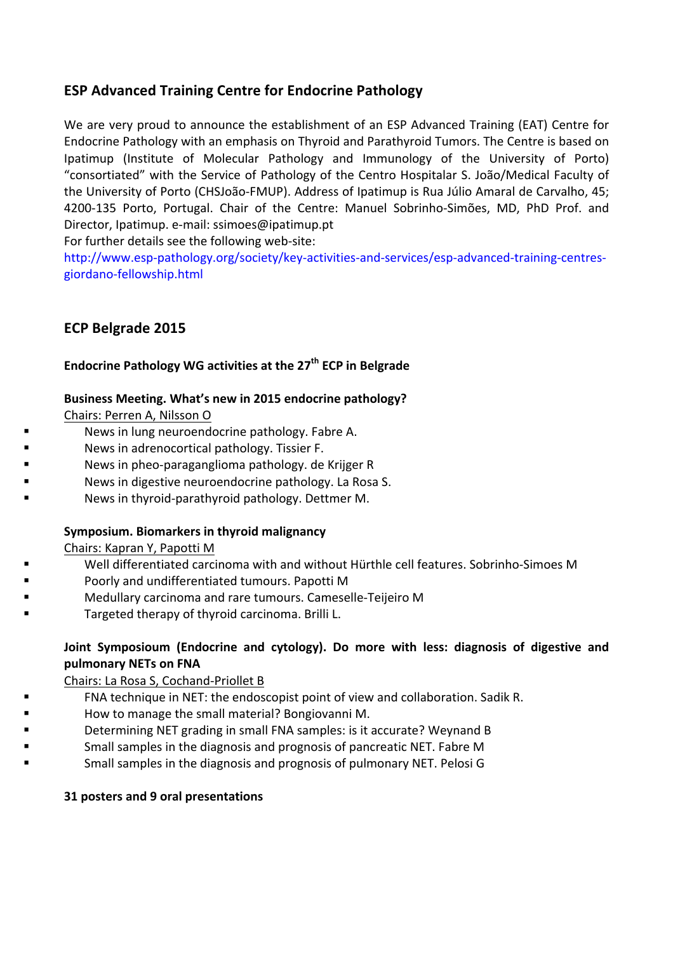# **ESP Advanced Training Centre for Endocrine Pathology**

We are very proud to announce the establishment of an ESP Advanced Training (EAT) Centre for Endocrine Pathology with an emphasis on Thyroid and Parathyroid Tumors. The Centre is based on Ipatimup (Institute of Molecular Pathology and Immunology of the University of Porto) "consortiated" with the Service of Pathology of the Centro Hospitalar S. João/Medical Faculty of the University of Porto (CHSJoão-FMUP). Address of Ipatimup is Rua Júlio Amaral de Carvalho, 45; 4200-135 Porto, Portugal. Chair of the Centre: Manuel Sobrinho-Simões, MD, PhD Prof. and Director, Ipatimup. e-mail: ssimoes@ipatimup.pt

For further details see the following web-site:

http://www.esp-pathology.org/society/key-activities-and-services/esp-advanced-training-centresgiordano-fellowship.html

### **ECP Belgrade 2015**

### **Endocrine Pathology WG** activities at the 27<sup>th</sup> ECP in Belgrade

#### Business Meeting. What's new in 2015 endocrine pathology?

Chairs: Perren A, Nilsson O

- News in lung neuroendocrine pathology. Fabre A.
- News in adrenocortical pathology. Tissier F.
- News in pheo-paraganglioma pathology. de Krijger R
- News in digestive neuroendocrine pathology. La Rosa S.
	- News in thyroid-parathyroid pathology. Dettmer M.

### **Symposium. Biomarkers in thyroid malignancy**

Chairs: Kapran Y, Papotti M

- Well differentiated carcinoma with and without Hürthle cell features. Sobrinho-Simoes M
- Poorly and undifferentiated tumours. Papotti M
- Medullary carcinoma and rare tumours. Cameselle-Teijeiro M
	- Targeted therapy of thyroid carcinoma. Brilli L.

### **Joint Symposioum (Endocrine and cytology). Do more with less: diagnosis of digestive and pulmonary NETs on FNA**

Chairs: La Rosa S, Cochand-Priollet B

- FNA technique in NET: the endoscopist point of view and collaboration. Sadik R.
- How to manage the small material? Bongiovanni M.
- Determining NET grading in small FNA samples: is it accurate? Weynand B
- Small samples in the diagnosis and prognosis of pancreatic NET. Fabre M
- Small samples in the diagnosis and prognosis of pulmonary NET. Pelosi G

#### **31 posters and 9 oral presentations**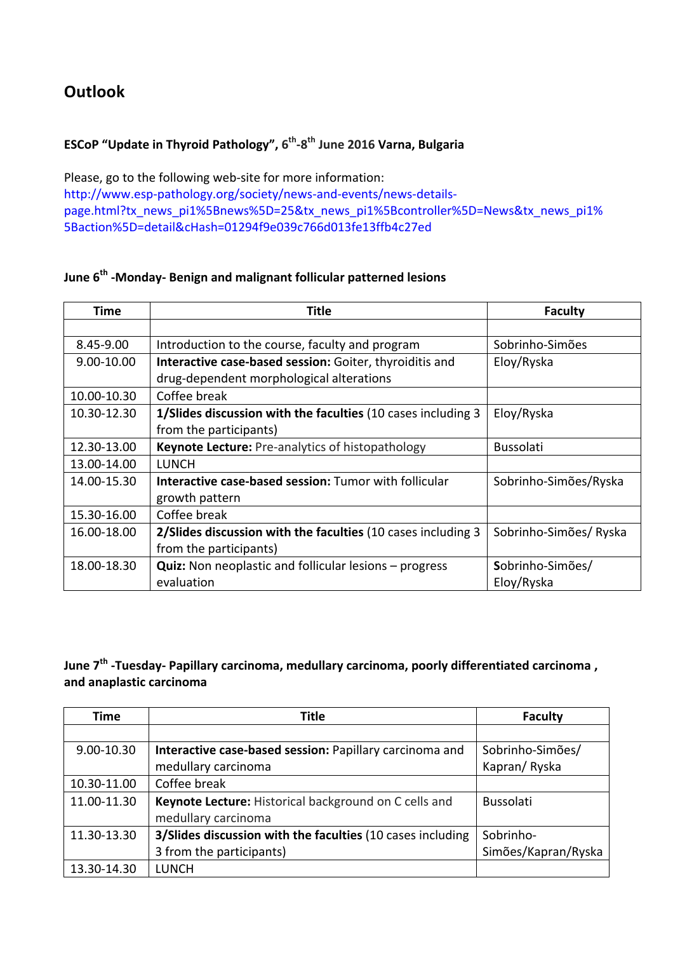# **Outlook**

# **ESCoP** "Update in Thyroid Pathology", 6<sup>th</sup>-8<sup>th</sup> June 2016 Varna, Bulgaria

Please, go to the following web-site for more information: http://www.esp-pathology.org/society/news-and-events/news-detailspage.html?tx\_news\_pi1%5Bnews%5D=25&tx\_news\_pi1%5Bcontroller%5D=News&tx\_news\_pi1% 5Baction%5D=detail&cHash=01294f9e039c766d013fe13ffb4c27ed

# **June 6<sup>th</sup> -Monday-** Benign and malignant follicular patterned lesions

| Time        | Title                                                           | <b>Faculty</b>         |
|-------------|-----------------------------------------------------------------|------------------------|
|             |                                                                 |                        |
| 8.45-9.00   | Introduction to the course, faculty and program                 | Sobrinho-Simões        |
| 9.00-10.00  | Interactive case-based session: Goiter, thyroiditis and         | Eloy/Ryska             |
|             | drug-dependent morphological alterations                        |                        |
| 10.00-10.30 | Coffee break                                                    |                        |
| 10.30-12.30 | 1/Slides discussion with the faculties (10 cases including 3    | Eloy/Ryska             |
|             | from the participants)                                          |                        |
| 12.30-13.00 | <b>Keynote Lecture: Pre-analytics of histopathology</b>         | <b>Bussolati</b>       |
| 13.00-14.00 | LUNCH                                                           |                        |
| 14.00-15.30 | Interactive case-based session: Tumor with follicular           | Sobrinho-Simões/Ryska  |
|             | growth pattern                                                  |                        |
| 15.30-16.00 | Coffee break                                                    |                        |
| 16.00-18.00 | 2/Slides discussion with the faculties (10 cases including 3    | Sobrinho-Simões/ Ryska |
|             | from the participants)                                          |                        |
| 18.00-18.30 | <b>Quiz:</b> Non neoplastic and follicular lesions $-$ progress | Sobrinho-Simões/       |
|             | evaluation                                                      | Eloy/Ryska             |

## **June 7<sup>th</sup> -Tuesday- Papillary carcinoma, medullary carcinoma, poorly differentiated carcinoma, and anaplastic carcinoma**

| Time        | <b>Title</b>                                               | <b>Faculty</b>      |
|-------------|------------------------------------------------------------|---------------------|
|             |                                                            |                     |
| 9.00-10.30  | Interactive case-based session: Papillary carcinoma and    | Sobrinho-Simões/    |
|             | medullary carcinoma                                        | Kapran/Ryska        |
| 10.30-11.00 | Coffee break                                               |                     |
| 11.00-11.30 | Keynote Lecture: Historical background on C cells and      | <b>Bussolati</b>    |
|             | medullary carcinoma                                        |                     |
| 11.30-13.30 | 3/Slides discussion with the faculties (10 cases including | Sobrinho-           |
|             | 3 from the participants)                                   | Simões/Kapran/Ryska |
| 13.30-14.30 | <b>LUNCH</b>                                               |                     |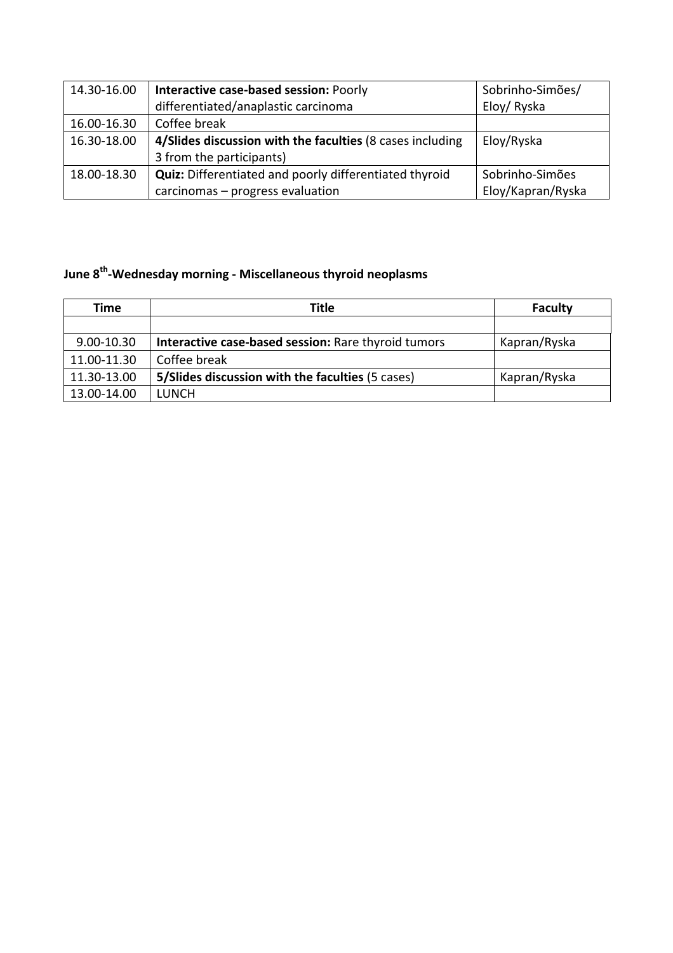| 14.30-16.00 | Interactive case-based session: Poorly                        | Sobrinho-Simões/  |
|-------------|---------------------------------------------------------------|-------------------|
|             | differentiated/anaplastic carcinoma                           | Eloy/Ryska        |
| 16.00-16.30 | Coffee break                                                  |                   |
| 16.30-18.00 | 4/Slides discussion with the faculties (8 cases including     | Eloy/Ryska        |
|             | 3 from the participants)                                      |                   |
| 18.00-18.30 | <b>Quiz:</b> Differentiated and poorly differentiated thyroid | Sobrinho-Simões   |
|             | carcinomas - progress evaluation                              | Eloy/Kapran/Ryska |

# **June 8<sup>th</sup>-Wednesday morning - Miscellaneous thyroid neoplasms**

| Time        | Title                                               | <b>Faculty</b> |
|-------------|-----------------------------------------------------|----------------|
|             |                                                     |                |
| 9.00-10.30  | Interactive case-based session: Rare thyroid tumors | Kapran/Ryska   |
| 11.00-11.30 | Coffee break                                        |                |
| 11.30-13.00 | 5/Slides discussion with the faculties (5 cases)    | Kapran/Ryska   |
| 13.00-14.00 | LUNCH                                               |                |